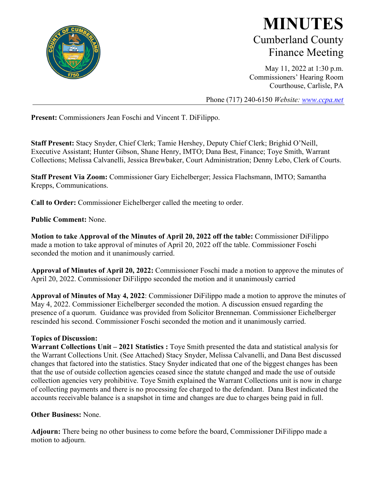

## **MINUTES** Cumberland County Finance Meeting

May 11, 2022 at 1:30 p.m. Commissioners' Hearing Room Courthouse, Carlisle, PA

Phone (717) 240-6150 *Website: [www.ccpa.net](http://www.ccpa.net/)*

**Present:** Commissioners Jean Foschi and Vincent T. DiFilippo.

**Staff Present:** Stacy Snyder, Chief Clerk; Tamie Hershey, Deputy Chief Clerk; Brighid O'Neill, Executive Assistant; Hunter Gibson, Shane Henry, IMTO; Dana Best, Finance; Toye Smith, Warrant Collections; Melissa Calvanelli, Jessica Brewbaker, Court Administration; Denny Lebo, Clerk of Courts.

**Staff Present Via Zoom:** Commissioner Gary Eichelberger; Jessica Flachsmann, IMTO; Samantha Krepps, Communications.

**Call to Order:** Commissioner Eichelberger called the meeting to order.

**Public Comment:** None.

**Motion to take Approval of the Minutes of April 20, 2022 off the table:** Commissioner DiFilippo made a motion to take approval of minutes of April 20, 2022 off the table. Commissioner Foschi seconded the motion and it unanimously carried.

**Approval of Minutes of April 20, 2022:** Commissioner Foschi made a motion to approve the minutes of April 20, 2022. Commissioner DiFilippo seconded the motion and it unanimously carried

**Approval of Minutes of May 4, 2022**: Commissioner DiFilippo made a motion to approve the minutes of May 4, 2022. Commissioner Eichelberger seconded the motion. A discussion ensued regarding the presence of a quorum. Guidance was provided from Solicitor Brenneman. Commissioner Eichelberger rescinded his second. Commissioner Foschi seconded the motion and it unanimously carried.

## **Topics of Discussion:**

**Warrant Collections Unit – 2021 Statistics :** Toye Smith presented the data and statistical analysis for the Warrant Collections Unit. (See Attached) Stacy Snyder, Melissa Calvanelli, and Dana Best discussed changes that factored into the statistics. Stacy Snyder indicated that one of the biggest changes has been that the use of outside collection agencies ceased since the statute changed and made the use of outside collection agencies very prohibitive. Toye Smith explained the Warrant Collections unit is now in charge of collecting payments and there is no processing fee charged to the defendant. Dana Best indicated the accounts receivable balance is a snapshot in time and changes are due to charges being paid in full.

#### **Other Business:** None.

**Adjourn:** There being no other business to come before the board, Commissioner DiFilippo made a motion to adjourn.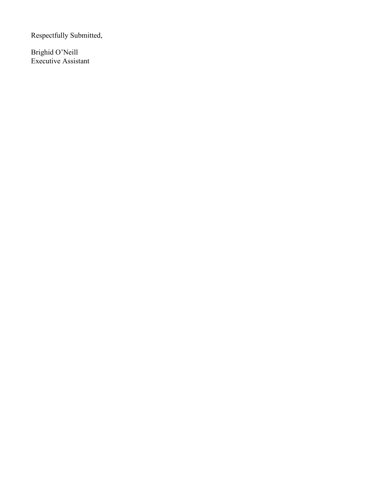Respectfully Submitted,

Brighid O'Neill Executive Assistant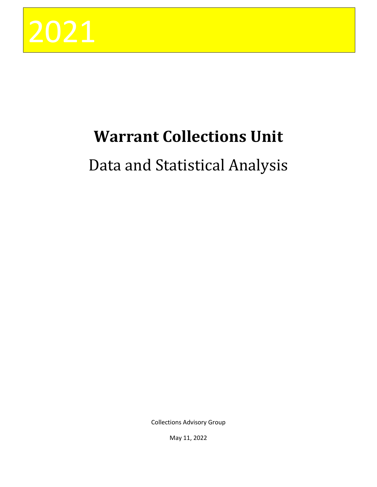

# **Warrant Collections Unit**

# Data and Statistical Analysis

Collections Advisory Group

May 11, 2022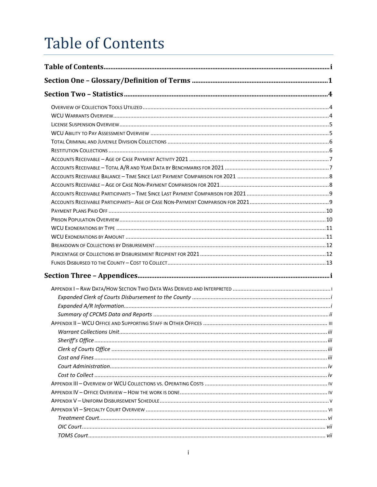# <span id="page-4-0"></span>**Table of Contents**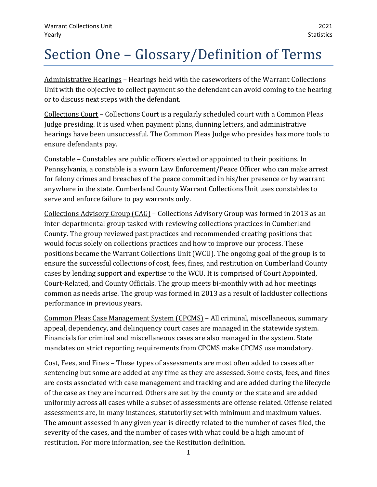## <span id="page-5-0"></span>Section One – Glossary/Definition of Terms

Administrative Hearings – Hearings held with the caseworkers of the Warrant Collections Unit with the objective to collect payment so the defendant can avoid coming to the hearing or to discuss next steps with the defendant.

Collections Court – Collections Court is a regularly scheduled court with a Common Pleas Judge presiding. It is used when payment plans, dunning letters, and administrative hearings have been unsuccessful. The Common Pleas Judge who presides has more tools to ensure defendants pay.

Constable – Constables are public officers elected or appointed to their positions. In Pennsylvania, a constable is a sworn Law Enforcement/Peace Officer who can make arrest for felony crimes and breaches of the peace committed in his/her presence or by warrant anywhere in the state. Cumberland County Warrant Collections Unit uses constables to serve and enforce failure to pay warrants only.

Collections Advisory Group (CAG) – Collections Advisory Group was formed in 2013 as an inter-departmental group tasked with reviewing collections practices in Cumberland County. The group reviewed past practices and recommended creating positions that would focus solely on collections practices and how to improve our process. These positions became the Warrant Collections Unit (WCU). The ongoing goal of the group is to ensure the successful collections of cost, fees, fines, and restitution on Cumberland County cases by lending support and expertise to the WCU. It is comprised of Court Appointed, Court-Related, and County Officials. The group meets bi-monthly with ad hoc meetings common as needs arise. The group was formed in 2013 as a result of lackluster collections performance in previous years.

Common Pleas Case Management System (CPCMS) – All criminal, miscellaneous, summary appeal, dependency, and delinquency court cases are managed in the statewide system. Financials for criminal and miscellaneous cases are also managed in the system. State mandates on strict reporting requirements from CPCMS make CPCMS use mandatory.

Cost, Fees, and Fines – These types of assessments are most often added to cases after sentencing but some are added at any time as they are assessed. Some costs, fees, and fines are costs associated with case management and tracking and are added during the lifecycle of the case as they are incurred. Others are set by the county or the state and are added uniformly across all cases while a subset of assessments are offense related. Offense related assessments are, in many instances, statutorily set with minimum and maximum values. The amount assessed in any given year is directly related to the number of cases filed, the severity of the cases, and the number of cases with what could be a high amount of restitution. For more information, see the Restitution definition.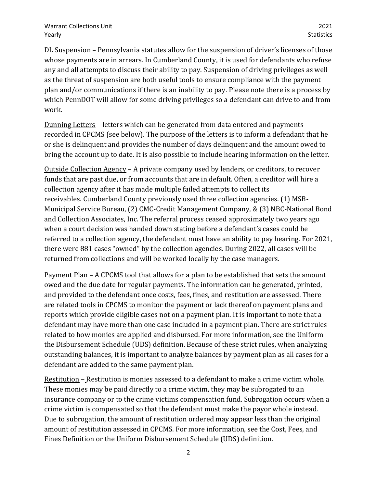DL Suspension – Pennsylvania statutes allow for the suspension of driver's licenses of those whose payments are in arrears. In Cumberland County, it is used for defendants who refuse any and all attempts to discuss their ability to pay. Suspension of driving privileges as well as the threat of suspension are both useful tools to ensure compliance with the payment plan and/or communications if there is an inability to pay. Please note there is a process by which PennDOT will allow for some driving privileges so a defendant can drive to and from work.

Dunning Letters – letters which can be generated from data entered and payments recorded in CPCMS (see below). The purpose of the letters is to inform a defendant that he or she is delinquent and provides the number of days delinquent and the amount owed to bring the account up to date. It is also possible to include hearing information on the letter.

Outside Collection Agency – A private company used by lenders, or creditors, to recover funds that are past due, or from accounts that are in default. Often, a creditor will hire a collection agency after it has made multiple failed attempts to collect its receivables. Cumberland County previously used three collection agencies. (1) MSB-Municipal Service Bureau, (2) CMC-Credit Management Company, & (3) NBC-National Bond and Collection Associates, Inc. The referral process ceased approximately two years ago when a court decision was handed down stating before a defendant's cases could be referred to a collection agency, the defendant must have an ability to pay hearing. For 2021, there were 881 cases "owned" by the collection agencies. During 2022, all cases will be returned from collections and will be worked locally by the case managers.

Payment Plan – A CPCMS tool that allows for a plan to be established that sets the amount owed and the due date for regular payments. The information can be generated, printed, and provided to the defendant once costs, fees, fines, and restitution are assessed. There are related tools in CPCMS to monitor the payment or lack thereof on payment plans and reports which provide eligible cases not on a payment plan. It is important to note that a defendant may have more than one case included in a payment plan. There are strict rules related to how monies are applied and disbursed. For more information, see the Uniform the Disbursement Schedule (UDS) definition. Because of these strict rules, when analyzing outstanding balances, it is important to analyze balances by payment plan as all cases for a defendant are added to the same payment plan.

Restitution – Restitution is monies assessed to a defendant to make a crime victim whole. These monies may be paid directly to a crime victim, they may be subrogated to an insurance company or to the crime victims compensation fund. Subrogation occurs when a crime victim is compensated so that the defendant must make the payor whole instead. Due to subrogation, the amount of restitution ordered may appear less than the original amount of restitution assessed in CPCMS. For more information, see the Cost, Fees, and Fines Definition or the Uniform Disbursement Schedule (UDS) definition.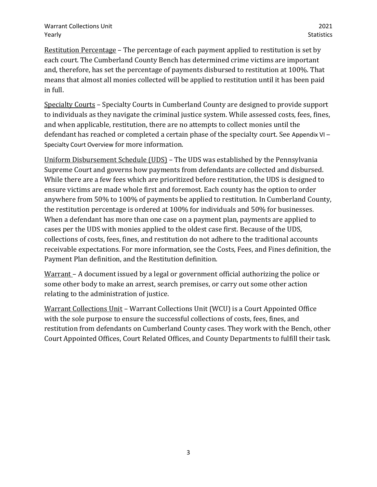Restitution Percentage – The percentage of each payment applied to restitution is set by each court. The Cumberland County Bench has determined crime victims are important and, therefore, has set the percentage of payments disbursed to restitution at 100%. That means that almost all monies collected will be applied to restitution until it has been paid in full.

Specialty Courts – Specialty Courts in Cumberland County are designed to provide support to individuals as they navigate the criminal justice system. While assessed costs, fees, fines, and when applicable, restitution, there are no attempts to collect monies until the defendant has reached or completed a certain phase of the specialty court. See [Appendix VI](#page-23-0) – [Specialty Court Overview](#page-23-0) for more information.

Uniform Disbursement Schedule (UDS) – The UDS was established by the Pennsylvania Supreme Court and governs how payments from defendants are collected and disbursed. While there are a few fees which are prioritized before restitution, the UDS is designed to ensure victims are made whole first and foremost. Each county has the option to order anywhere from 50% to 100% of payments be applied to restitution. In Cumberland County, the restitution percentage is ordered at 100% for individuals and 50% for businesses. When a defendant has more than one case on a payment plan, payments are applied to cases per the UDS with monies applied to the oldest case first. Because of the UDS, collections of costs, fees, fines, and restitution do not adhere to the traditional accounts receivable expectations. For more information, see the Costs, Fees, and Fines definition, the Payment Plan definition, and the Restitution definition.

Warrant – A document issued by a legal or government official authorizing the police or some other body to make an arrest, search premises, or carry out some other action relating to the administration of justice.

Warrant Collections Unit – Warrant Collections Unit (WCU) is a Court Appointed Office with the sole purpose to ensure the successful collections of costs, fees, fines, and restitution from defendants on Cumberland County cases. They work with the Bench, other Court Appointed Offices, Court Related Offices, and County Departments to fulfill their task.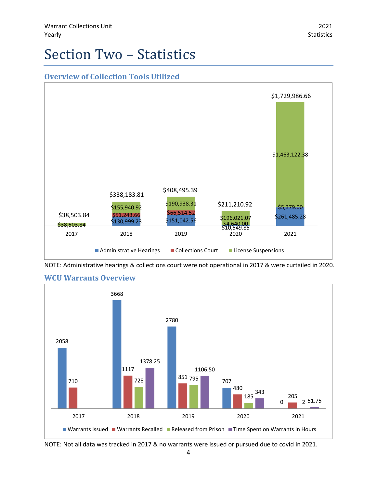## <span id="page-8-0"></span>Section Two – Statistics

<span id="page-8-1"></span>

NOTE: Administrative hearings & collections court were not operational in 2017 & were curtailed in 2020.



## <span id="page-8-2"></span>**WCU Warrants Overview**

NOTE: Not all data was tracked in 2017 & no warrants were issued or pursued due to covid in 2021.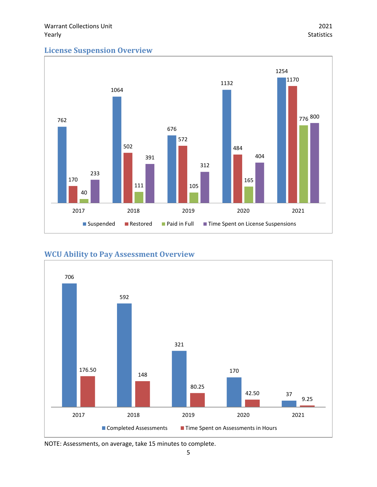## <span id="page-9-0"></span>**License Suspension Overview**



## <span id="page-9-1"></span>**WCU Ability to Pay Assessment Overview**



NOTE: Assessments, on average, take 15 minutes to complete.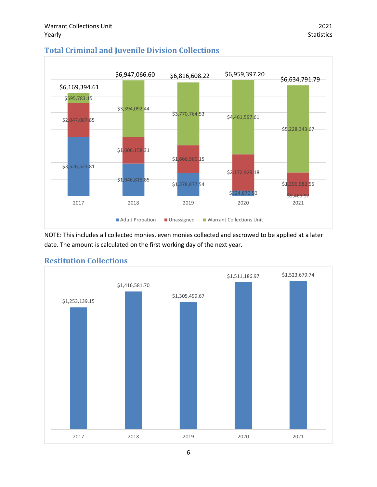

## <span id="page-10-0"></span>**Total Criminal and Juvenile Division Collections**

NOTE: This includes all collected monies, even monies collected and escrowed to be applied at a later date. The amount is calculated on the first working day of the next year.



## <span id="page-10-1"></span>**Restitution Collections**

6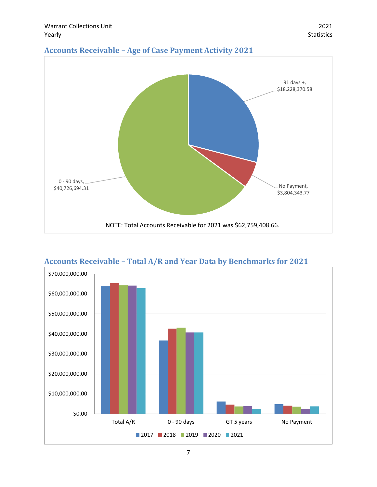<span id="page-11-0"></span>



<span id="page-11-1"></span>**Accounts Receivable – Total A/R and Year Data by Benchmarks for 2021**

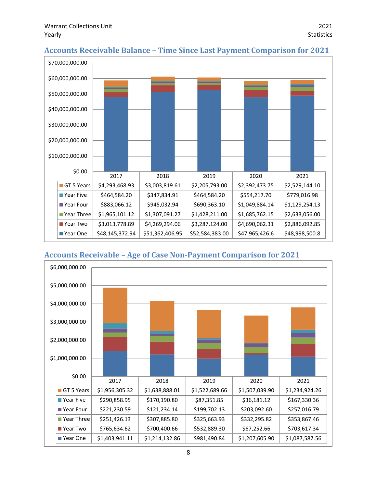

## <span id="page-12-0"></span>**Accounts Receivable Balance – Time Since Last Payment Comparison for 2021**

## <span id="page-12-1"></span>**Accounts Receivable – Age of Case Non-Payment Comparison for 2021**

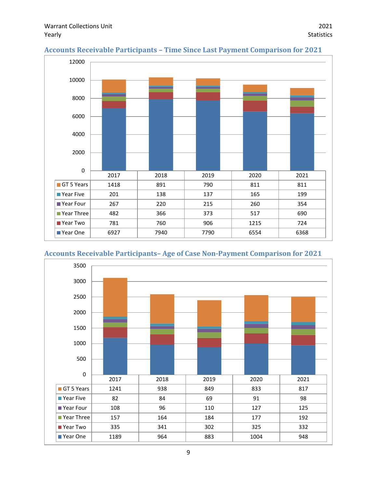

### <span id="page-13-0"></span>**Accounts Receivable Participants – Time Since Last Payment Comparison for 2021**

## <span id="page-13-1"></span>**Accounts Receivable Participants– Age of Case Non-Payment Comparison for 2021**

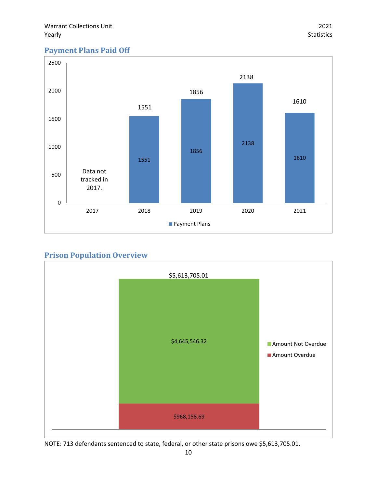## <span id="page-14-0"></span>**Payment Plans Paid Off**



## <span id="page-14-1"></span>**Prison Population Overview**



NOTE: 713 defendants sentenced to state, federal, or other state prisons owe \$5,613,705.01.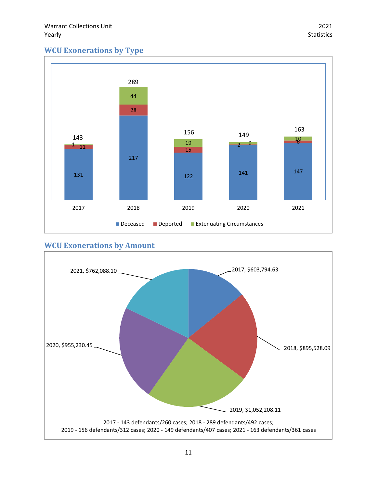## <span id="page-15-0"></span>**WCU Exonerations by Type**



## <span id="page-15-1"></span>**WCU Exonerations by Amount**

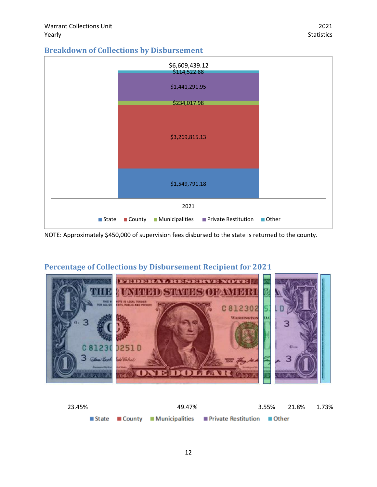## <span id="page-16-0"></span>**Breakdown of Collections by Disbursement**



NOTE: Approximately \$450,000 of supervision fees disbursed to the state is returned to the county.

## **FEIDERAL RESERVE NOTE |** WRITH DISTRICTIONS OF THE R C812302 **WASHINGTO** w **0251D** 81230 3 1. Perk DOLLA R

## <span id="page-16-1"></span>**Percentage of Collections by Disbursement Recipient for 2021**

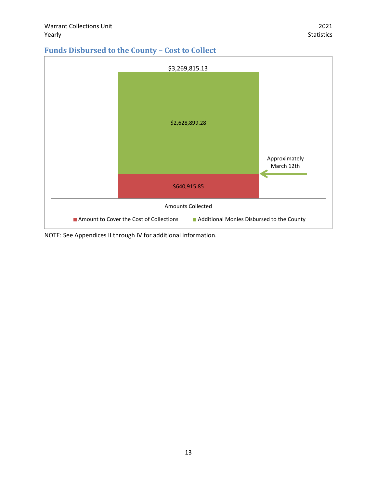## <span id="page-17-0"></span>**Funds Disbursed to the County – Cost to Collect**



NOTE: See Appendices II through IV for additional information.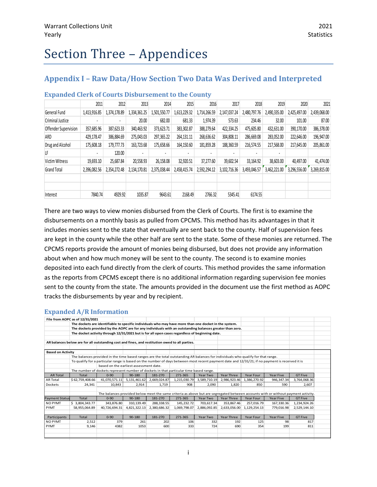## <span id="page-18-0"></span>Section Three – Appendices

## <span id="page-18-1"></span>**Appendix I – Raw Data/How Section Two Data Was Derived and Interpreted**

|                      | 2011         | 2012         | 2013         | 2014         | 2015         | 2016         | 2017           | 2018         | 2019         | 2020         | 2021         |
|----------------------|--------------|--------------|--------------|--------------|--------------|--------------|----------------|--------------|--------------|--------------|--------------|
| General Fund         | 1,413,916.85 | 1,374,178.89 | 1,334,361.25 | 1,501,550.77 | 1,613,229.32 | 1,714,266.59 | 2,147,037.24   | 2,480,797.76 | 2,490,335.00 | 2.425.497.00 | 2,439,068.00 |
| Criminal Justice     |              |              | 20.00        | 682.00       | 681.33       | 1,974.39     | 573.63         | 234.46       | 32.00        | 101.00       | 87.00        |
| Offender Supervision | 357,685.96   | 387,623.33   | 340,463.92   | 373,623.71   | 383,302.87   | 388,279.64   | 422,334.25     | 475,605.80   | 432,631.00   | 390,170.00   | 386,378.00   |
| ARD                  | 429.178.47   | 386,884.69   | 275.043.03   | 297.365.22   | 264,131.11   | 268.636.62   | 304.808.11     | 286.669.08   | 283,052,00   | 222,646.00   | 196,947.00   |
| Drug and Alcohol     | 175,608.18   | 179,777.73   | 163,723.68   | 175,658.66   | 164,150.60   | 181,859.28   | 188,360.59     | 216.574.55   | 217,568.00   | 217.645.00   | 205,861.00   |
| LF                   |              | 120.00       |              |              |              | ٠            |                |              |              |              |              |
| Victim Witness       | 19,693.10    | 25,687.84    | 20,558.93    | 26,158.08    | 32.920.51    | 37.277.60    | 39,602.54      | 33,164.92    | 38,603.00    | 40.497.00    | 41,474.00    |
| <b>Grand Total</b>   | 2,396,082.56 | 2.354.272.48 | 2,134,170.81 | 2,375,038.44 | 2,458,415.74 | 2,592,294.12 | 3, 102, 716.36 | 3,493,046.57 | 3,462,221.00 | 3,296,556.00 | 3,269,815.00 |
|                      |              |              |              |              |              |              |                |              |              |              |              |
|                      |              |              |              |              |              |              |                |              |              |              |              |
| Interest             | 7840.74      | 4929.92      | 1035.87      | 9643.61      | 2168.49      | 2766.32      | 5345.41        | 6174.55      |              |              |              |

#### <span id="page-18-2"></span>**Expanded Clerk of Courts Disbursement to the County**

There are two ways to view monies disbursed from the Clerk of Courts. The first is to examine the disbursements on a monthly basis as pulled from CPCMS. This method has its advantages in that it includes monies sent to the state that eventually are sent back to the county. Half of supervision fees are kept in the county while the other half are sent to the state. Some of these monies are returned. The CPCMS reports provide the amount of monies being disbursed, but does not provide any information about when and how much money will be sent to the county. The second is to examine monies deposited into each fund directly from the clerk of courts. This method provides the same information as the reports from CPCMS except there is no additional information regarding supervision fee monies sent to the county from the state. The amounts provided in the document use the first method as AOPC tracks the disbursements by year and by recipient.

#### <span id="page-18-3"></span>**Expanded A/R Information**

|                          | File from AOPC as of 12/31/2021                                                                          |                                                                                                                                                 |                 |              |              |              |              |              |                                                                                                                                   |                |  |
|--------------------------|----------------------------------------------------------------------------------------------------------|-------------------------------------------------------------------------------------------------------------------------------------------------|-----------------|--------------|--------------|--------------|--------------|--------------|-----------------------------------------------------------------------------------------------------------------------------------|----------------|--|
|                          |                                                                                                          | The dockets are identifiable to specific individuals who may have more than one docket in the system.                                           |                 |              |              |              |              |              |                                                                                                                                   |                |  |
|                          | The dockets provided by the AOPC are for any individuals with an outstanding balances greater than zero. |                                                                                                                                                 |                 |              |              |              |              |              |                                                                                                                                   |                |  |
|                          |                                                                                                          | The docket activity through 12/31/2021 but is for all open cases regardless of beginning date.                                                  |                 |              |              |              |              |              |                                                                                                                                   |                |  |
|                          |                                                                                                          |                                                                                                                                                 |                 |              |              |              |              |              |                                                                                                                                   |                |  |
|                          | AR balances below are for all outstanding cost and fines, and restitution owed to all parties.           |                                                                                                                                                 |                 |              |              |              |              |              |                                                                                                                                   |                |  |
|                          |                                                                                                          |                                                                                                                                                 |                 |              |              |              |              |              |                                                                                                                                   |                |  |
| <b>Based on Activity</b> |                                                                                                          |                                                                                                                                                 |                 |              |              |              |              |              |                                                                                                                                   |                |  |
|                          |                                                                                                          | The balances provided in the time based ranges are the total outstanding AR balances for individuals who qualify for that range.                |                 |              |              |              |              |              |                                                                                                                                   |                |  |
|                          |                                                                                                          | To qualify for a particular range is based on the number of days between most recent payment date and 12/31/21; if no payment is received it is |                 |              |              |              |              |              |                                                                                                                                   |                |  |
|                          |                                                                                                          | based on the earliest assessment date.                                                                                                          |                 |              |              |              |              |              |                                                                                                                                   |                |  |
|                          |                                                                                                          | The number of dockets represent number of dockets in that particular time based range.                                                          |                 |              |              |              |              |              |                                                                                                                                   |                |  |
| <b>AR Total</b>          | Total                                                                                                    | $0 - 90$                                                                                                                                        | $90 - 180$      | 181-270      | 271-365      | Year Two     | Year Three   | Year Four    | <b>Year Five</b>                                                                                                                  | <b>GT Five</b> |  |
| <b>AR Total</b>          | \$62,759,408.66                                                                                          | 41,070,571.11                                                                                                                                   | 5, 131, 461. 62 | 2,669,024.87 | 1,215,030.79 | 3,589,710.19 | 2,986,923.46 | 1,386,270.92 | 946,347.34                                                                                                                        | 3,764,068.36   |  |
| <b>Dockets</b>           | 24,341                                                                                                   | 10,843                                                                                                                                          | 2,914           | 1,719        | 908          | 2,090        | 1,820        | 850          | 590                                                                                                                               | 2,607          |  |
|                          |                                                                                                          |                                                                                                                                                 |                 |              |              |              |              |              |                                                                                                                                   |                |  |
|                          |                                                                                                          |                                                                                                                                                 |                 |              |              |              |              |              | The balances provided below meet the same criteria as above but are segregated between accounts with or without payment activity. |                |  |
| <b>Payment Status</b>    | Total                                                                                                    | $0 - 90$                                                                                                                                        | 90-180          | 181-270      | 271-365      | Year Two     | Year Three   | Year Four    | Year Five                                                                                                                         | <b>GT Five</b> |  |
| <b>NO PYMT</b>           | \$3,804,343.77                                                                                           | 343.876.80                                                                                                                                      | 310.139.49      | 288.338.55   | 145.232.72   | 703.617.34   | 353.867.46   | 257.016.79   | 167,330.36                                                                                                                        | 1,234,924.26   |  |
| PYMT                     | 58,955,064.89                                                                                            | 40,726,694.31                                                                                                                                   | 4,821,322.13    | 2,380,686.32 | 1,069,798.07 | 2,886,092.85 | 2,633,056.00 | 1,129,254.13 | 779,016.98                                                                                                                        | 2,529,144.10   |  |
|                          |                                                                                                          |                                                                                                                                                 |                 |              |              |              |              |              |                                                                                                                                   |                |  |
| Participants             | Total                                                                                                    | $0 - 90$                                                                                                                                        | 90-180          | 181-270      | 271-365      | Year Two     | Year Three   | Year Four    | <b>Year Five</b>                                                                                                                  | <b>GT Five</b> |  |
| <b>NO PYMT</b>           | 2,512                                                                                                    | 379                                                                                                                                             | 261             | 202          | 106          | 332          | 192          | 125          | 98                                                                                                                                | 817            |  |
| PYMT                     | 9,146                                                                                                    | 4382                                                                                                                                            | 1053            | 600          | 333          | 724          | 690          | 354          | 199                                                                                                                               | 811            |  |
|                          |                                                                                                          |                                                                                                                                                 |                 |              |              |              |              |              |                                                                                                                                   |                |  |
|                          |                                                                                                          |                                                                                                                                                 |                 |              |              |              |              |              |                                                                                                                                   |                |  |
|                          |                                                                                                          |                                                                                                                                                 |                 |              |              |              |              |              |                                                                                                                                   |                |  |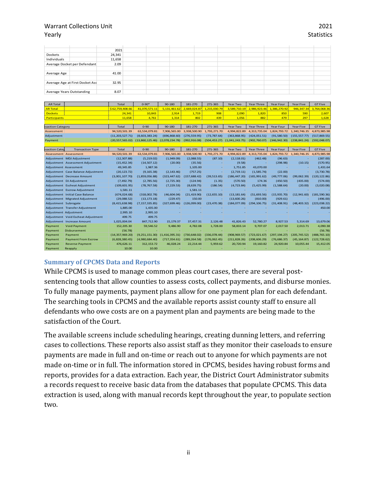|                                 |  | 2021   |  |  |  |  |  |
|---------------------------------|--|--------|--|--|--|--|--|
| Dockets                         |  | 24,341 |  |  |  |  |  |
| Individuals                     |  | 11,658 |  |  |  |  |  |
| Average Docket per Defendant    |  | 2.09   |  |  |  |  |  |
|                                 |  |        |  |  |  |  |  |
| Average Age                     |  | 41.00  |  |  |  |  |  |
|                                 |  |        |  |  |  |  |  |
| Average Age at First Docket Ass |  | 32.95  |  |  |  |  |  |
|                                 |  |        |  |  |  |  |  |
| Average Years Outstanding       |  | 8.07   |  |  |  |  |  |

| <b>AR Total</b>      |                                        | Total             | $0 - 90*$        | 90-180           | 181-270       | 271-365       | Year Two       | Year Three    | Year Four        | Year Five        | <b>GT Five</b> |
|----------------------|----------------------------------------|-------------------|------------------|------------------|---------------|---------------|----------------|---------------|------------------|------------------|----------------|
| <b>AR Total</b>      |                                        | \$62,759,408.66   | 41,070,571.11    | 5,131,461.62     | 2,669,024.87  | 1,215,030.79  | 3,589,710.19   | 2,986,923.46  | 1,386,270.92     | 946, 347. 34     | 3,764,068.36   |
| <b>Dockets</b>       |                                        | 24,341            | 10,843           | 2,914            | 1,719         | 908           | 2,090          | 1,820         | 850              | 590              | 2,607          |
| <b>Participants</b>  |                                        | 11,658            | 4,761            | 1,314            | 802           | 439           | 1,056          | 882           | 479              | 297              | 1,628          |
|                      |                                        |                   |                  |                  |               |               |                |               |                  |                  |                |
| saction Category     |                                        | Total             | $0 - 90$         | 90-180           | 181-270       | 271-365       | Year Two       | Year Three    | Year Four        | <b>Year Five</b> | <b>GT Five</b> |
| Assessment           |                                        | 94,520,501.39     | 63,534,079.81    | 7,906,565.00     | 3,938,500.90  | 1,793,271.70  | 4,994,822.89   | 4,313,735.04  | 1,824,793.72     | 1,340,746.35     | 4,873,985.98   |
| Adjustment           |                                        | (11, 203, 527.71) | (8,603,383.24)   | (696, 868.60)    | (276, 559.95) | (73, 787.64)  | (363,868.95)   | (424, 051.51) | (91,580.50)      | (155, 557.77)    | (517, 869.55)  |
| Payment              |                                        | (20, 557, 565.02) | (13,860,125.46)  | (2,078,234.78)   | (992, 916.08) | (504, 453.27) | (1,041,243.75) | (902.760.07)  | (346.942.30)     | (238.841.24)     | (592,048.07)   |
|                      |                                        |                   |                  |                  |               |               |                |               |                  |                  |                |
| saction Cate         | <b>Transaction Type</b>                | Total             | $0 - 90$         | 90-180           | 181-270       | 271-365       | Year Two       | Year Three    | <b>Year Four</b> | Year Five        | <b>GT Five</b> |
|                      | Assessment Assessment                  | 94,520,501.39     | 63,534,079.81    | 7,906,565.00     | 3,938,500.90  | 1,793,271.70  | 4,994,822.89   | 4,313,735.04  | 1.824,793.72     | 1.340.746.35     | 4,873,985.98   |
|                      | Adjustment   MDJ Adjustment            | (12, 307.88)      | (5,219.02)       | (1,949.09)       | (2,088.55)    | (87.10)       | (2, 118.01)    | (462.48)      | (96.63)          |                  | (287.00)       |
|                      | Adjustment Assessment Adjustment       | (15, 452.34)      | (14, 507.12)     | (20.00)          | (35.56)       |               | (9.58)         |               | (298.98)         | (10.15)          | (570.95)       |
|                      | Adjustment Assessment                  | 49,345.85         | 1,987.36         |                  | 1,105.00      |               | 1.751.85       | 43.070.00     |                  |                  | 1,431.64       |
|                      | Adjustment Case Balance Adjustment     | (20, 123.72)      | (9, 165.38)      | (2, 143.46)      | (757.25)      |               | (2,719.11)     | (1,585.74)    | (22.00)          |                  | (3,730.78)     |
|                      | Adjustment Decrease Amount             | (3,001,107.70)    | (1,859,056.88)   | (323, 447.62)    | (157, 688.42) | (39, 513.65)  | (186, 447.20)  | (165, 991.62) | (49, 777.06)     | (99,062.39)      | (120, 122.86)  |
|                      | Adjustment DJ Adjustment               | (7,492.79)        | (2,785.56)       | (2,725.30)       | (124.94)      | (1.35)        | (570.50)       | 174.36        | (450.50)         | (435.00)         | (574.00)       |
|                      | Adjustment Escheat Adjustment          | (109, 601.95)     | (78, 767.58)     | (7, 229.53)      | (8,639.75)    | (186.54)      | (4, 723.84)    | (5,425.99)    | (1,588.64)       | (20.00)          | (3,020.08)     |
|                      | Adjustment Escrow Adjustment           | 1,581.11          |                  |                  | 1,581.11      |               |                |               |                  |                  |                |
|                      | <b>Adjustment</b> Initial Case Balance | (674, 024.68)     | (318,002.78)     | (46, 604.04)     | (21, 419.90)  | (12,655.10)   | (13, 181.64)   | (51,693.56)   | (15,935.70)      | (12,941.60)      | (181, 590.36)  |
|                      | Adjustment Migrated Adjustment         | (29,088.52)       | (13, 173.18)     | (229.47)         | 150.00        |               | (13,600.26)    | (810.00)      | (929.61)         |                  | (496.00)       |
| Adjustment Subrogate |                                        | (8,415,638.98)    | (7, 157, 335.85) | (327.699.46)     | (126,099.00)  | (23, 470.38)  | (184.077.09)   | (294.106.75)  | (31.408.91)      | (48.403.32)      | (223, 038.22)  |
|                      | Adjustment Transfer Adjustment         | 1,885.00          | 1,435.00         |                  |               |               |                |               |                  |                  | 450.00         |
|                      | Adjustment Adjustment                  | 2,995.10          | 2,995.10         |                  |               |               |                |               |                  |                  |                |
|                      | Adjustment Void Escheat Adjustment     | 499.75            | 499.75           |                  |               |               |                |               |                  |                  |                |
|                      | Adjustment Increase Amount             | 1,025,004.04      | 847,712.90       | 15,179.37        | 37,457.31     | 2,126.48      | 41,826.43      | 52,780.27     | 8,927.53         | 5,314.69         | 13,679.06      |
| Payment              | <b>Void Payment</b>                    | 152,205.30        | 59,546.52        | 9,486.90         | 4,782.08      | 1,728.00      | 58,833.14      | 9,707.07      | 2,017.50         | 2,013.71         | 4,090.38       |
| Payment              | Disbursement                           | (56.78)           |                  |                  |               |               |                |               |                  |                  | (56.78)        |
| Payment              | Payment                                | (14, 357, 969.20) | (9,251,151.30)   | (1, 416, 395.31) | (730.648.02)  | (336,078.44)  | (908, 969.57)  | (723.021.67)  | (297.194.27)     | (205.745.52)     | (488, 765.10)  |
| Payment              | <b>Payment From Escrow</b>             | (6,828,380.45)    | (4,980,684.40)   | (717, 354.61)    | (289, 264.58) | (176,062.45)  | (211, 828.26)  | (208, 606.29) | (76,686.37)      | (45, 164.87)     | (122, 728.62)  |
| Payment              | <b>Reverse Payment</b>                 | 476,626.11        | 312, 153.72      | 46,028.24        | 22,214.44     | 5,959.62      | 20,720.94      | 19,160.82     | 24,920.84        | 10,055.44        | 15,412.05      |
| Payment              | Reapply                                | 10.00             | 10.00            |                  |               |               |                |               |                  |                  |                |

## <span id="page-19-0"></span>**Summary of CPCMS Data and Reports**

While CPCMS is used to manage common pleas court cases, there are several postsentencing tools that allow counties to assess costs, collect payments, and disburse monies. To fully manage payments, payment plans allow for one payment plan for each defendant. The searching tools in CPCMS and the available reports assist county staff to ensure all defendants who owe costs are on a payment plan and payments are being made to the satisfaction of the Court.

The available screens include scheduling hearings, creating dunning letters, and referring cases to collections. These reports also assist staff as they monitor their caseloads to ensure payments are made in full and on-time or reach out to anyone for which payments are not made on-time or in full. The information stored in CPCMS, besides having robust forms and reports, provides for a data extraction. Each year, the District Court Administrator submits a records request to receive basic data from the databases that populate CPCMS. This data extraction is used, along with manual records kept throughout the year, to populate section two.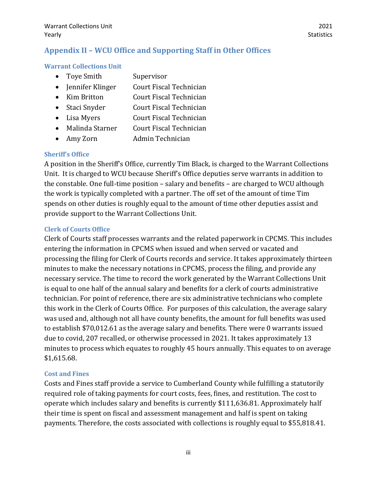## <span id="page-20-0"></span>**Appendix II – WCU Office and Supporting Staff in Other Offices**

### <span id="page-20-1"></span>**Warrant Collections Unit**

- Toye Smith Supervisor
- Jennifer Klinger Court Fiscal Technician
- Kim Britton Court Fiscal Technician
- Staci Snyder Court Fiscal Technician
- Lisa Myers **Court Fiscal Technician**
- Malinda Starner Court Fiscal Technician
- Amy Zorn Admin Technician

### <span id="page-20-2"></span>**Sheriff's Office**

A position in the Sheriff's Office, currently Tim Black, is charged to the Warrant Collections Unit. It is charged to WCU because Sheriff's Office deputies serve warrants in addition to the constable. One full-time position – salary and benefits – are charged to WCU although the work is typically completed with a partner. The off set of the amount of time Tim spends on other duties is roughly equal to the amount of time other deputies assist and provide support to the Warrant Collections Unit.

### <span id="page-20-3"></span>**Clerk of Courts Office**

Clerk of Courts staff processes warrants and the related paperwork in CPCMS. This includes entering the information in CPCMS when issued and when served or vacated and processing the filing for Clerk of Courts records and service. It takes approximately thirteen minutes to make the necessary notations in CPCMS, process the filing, and provide any necessary service. The time to record the work generated by the Warrant Collections Unit is equal to one half of the annual salary and benefits for a clerk of courts administrative technician. For point of reference, there are six administrative technicians who complete this work in the Clerk of Courts Office. For purposes of this calculation, the average salary was used and, although not all have county benefits, the amount for full benefits was used to establish \$70,012.61 as the average salary and benefits. There were 0 warrants issued due to covid, 207 recalled, or otherwise processed in 2021. It takes approximately 13 minutes to process which equates to roughly 45 hours annually. This equates to on average \$1,615.68.

## <span id="page-20-4"></span>**Cost and Fines**

Costs and Fines staff provide a service to Cumberland County while fulfilling a statutorily required role of taking payments for court costs, fees, fines, and restitution. The cost to operate which includes salary and benefits is currently \$111,636.81. Approximately half their time is spent on fiscal and assessment management and half is spent on taking payments. Therefore, the costs associated with collections is roughly equal to \$55,818.41.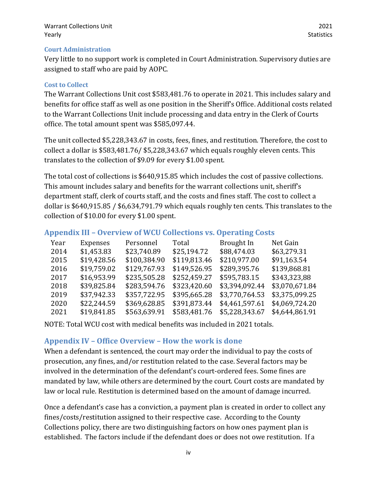#### <span id="page-21-0"></span>**Court Administration**

Very little to no support work is completed in Court Administration. Supervisory duties are assigned to staff who are paid by AOPC.

#### <span id="page-21-1"></span>**Cost to Collect**

The Warrant Collections Unit cost \$583,481.76 to operate in 2021. This includes salary and benefits for office staff as well as one position in the Sheriff's Office. Additional costs related to the Warrant Collections Unit include processing and data entry in the Clerk of Courts office. The total amount spent was \$585,097.44.

The unit collected \$5,228,343.67 in costs, fees, fines, and restitution. Therefore, the cost to collect a dollar is \$583,481.76/ \$5,228,343.67 which equals roughly eleven cents. This translates to the collection of \$9.09 for every \$1.00 spent.

The total cost of collections is \$640,915.85 which includes the cost of passive collections. This amount includes salary and benefits for the warrant collections unit, sheriff's department staff, clerk of courts staff, and the costs and fines staff. The cost to collect a dollar is \$640,915.85 / \$6,634,791.79 which equals roughly ten cents. This translates to the collection of \$10.00 for every \$1.00 spent.

## <span id="page-21-2"></span>**Appendix III – Overview of WCU Collections vs. Operating Costs**

| Year | Expenses    | Personnel    | Total        | Brought In     | Net Gain       |
|------|-------------|--------------|--------------|----------------|----------------|
| 2014 | \$1,453.83  | \$23,740.89  | \$25,194.72  | \$88,474.03    | \$63,279.31    |
| 2015 | \$19,428.56 | \$100,384.90 | \$119,813.46 | \$210,977.00   | \$91,163.54    |
| 2016 | \$19,759.02 | \$129,767.93 | \$149,526.95 | \$289,395.76   | \$139,868.81   |
| 2017 | \$16,953.99 | \$235,505.28 | \$252,459.27 | \$595,783.15   | \$343,323,88   |
| 2018 | \$39,825.84 | \$283,594.76 | \$323,420.60 | \$3,394,092.44 | \$3,070,671.84 |
| 2019 | \$37,942.33 | \$357,722.95 | \$395,665.28 | \$3,770,764.53 | \$3,375,099.25 |
| 2020 | \$22,244.59 | \$369,628.85 | \$391,873.44 | \$4,461,597.61 | \$4,069,724.20 |
| 2021 | \$19,841.85 | \$563,639.91 | \$583,481.76 | \$5,228,343.67 | \$4,644,861.91 |

NOTE: Total WCU cost with medical benefits was included in 2021 totals.

## <span id="page-21-3"></span>**Appendix IV – Office Overview – How the work is done**

When a defendant is sentenced, the court may order the individual to pay the costs of prosecution, any fines, and/or restitution related to the case. Several factors may be involved in the determination of the defendant's court-ordered fees. Some fines are mandated by law, while others are determined by the court. Court costs are mandated by law or local rule. Restitution is determined based on the amount of damage incurred.

Once a defendant's case has a conviction, a payment plan is created in order to collect any fines/costs/restitution assigned to their respective case. According to the County Collections policy, there are two distinguishing factors on how ones payment plan is established. The factors include if the defendant does or does not owe restitution. If a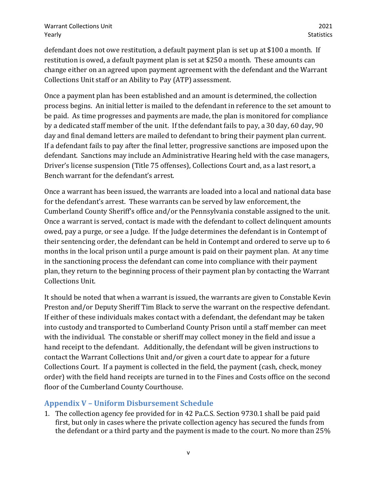defendant does not owe restitution, a default payment plan is set up at \$100 a month. If restitution is owed, a default payment plan is set at \$250 a month. These amounts can change either on an agreed upon payment agreement with the defendant and the Warrant Collections Unit staff or an Ability to Pay (ATP) assessment.

Once a payment plan has been established and an amount is determined, the collection process begins. An initial letter is mailed to the defendant in reference to the set amount to be paid. As time progresses and payments are made, the plan is monitored for compliance by a dedicated staff member of the unit. If the defendant fails to pay, a 30 day, 60 day, 90 day and final demand letters are mailed to defendant to bring their payment plan current. If a defendant fails to pay after the final letter, progressive sanctions are imposed upon the defendant. Sanctions may include an Administrative Hearing held with the case managers, Driver's license suspension (Title 75 offenses), Collections Court and, as a last resort, a Bench warrant for the defendant's arrest.

Once a warrant has been issued, the warrants are loaded into a local and national data base for the defendant's arrest. These warrants can be served by law enforcement, the Cumberland County Sheriff's office and/or the Pennsylvania constable assigned to the unit. Once a warrant is served, contact is made with the defendant to collect delinquent amounts owed, pay a purge, or see a Judge. If the Judge determines the defendant is in Contempt of their sentencing order, the defendant can be held in Contempt and ordered to serve up to 6 months in the local prison until a purge amount is paid on their payment plan. At any time in the sanctioning process the defendant can come into compliance with their payment plan, they return to the beginning process of their payment plan by contacting the Warrant Collections Unit.

It should be noted that when a warrant is issued, the warrants are given to Constable Kevin Preston and/or Deputy Sheriff Tim Black to serve the warrant on the respective defendant. If either of these individuals makes contact with a defendant, the defendant may be taken into custody and transported to Cumberland County Prison until a staff member can meet with the individual. The constable or sheriff may collect money in the field and issue a hand receipt to the defendant. Additionally, the defendant will be given instructions to contact the Warrant Collections Unit and/or given a court date to appear for a future Collections Court. If a payment is collected in the field, the payment (cash, check, money order) with the field hand receipts are turned in to the Fines and Costs office on the second floor of the Cumberland County Courthouse.

## <span id="page-22-0"></span>**Appendix V – Uniform Disbursement Schedule**

1. The collection agency fee provided for in 42 Pa.C.S. Section 9730.1 shall be paid paid first, but only in cases where the private collection agency has secured the funds from the defendant or a third party and the payment is made to the court. No more than 25%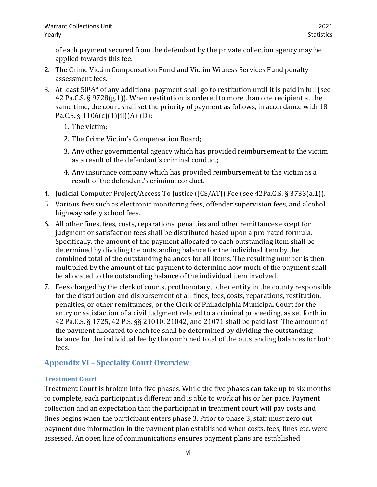of each payment secured from the defendant by the private collection agency may be applied towards this fee.

- 2. The Crime Victim Compensation Fund and Victim Witness Services Fund penalty assessment fees.
- 3. At least 50%\* of any additional payment shall go to restitution until it is paid in full (see 42 Pa.C.S. § 9728(g.1)). When restitution is ordered to more than one recipient at the same time, the court shall set the priority of payment as follows, in accordance with 18 Pa.C.S. § 1106(c)(1)(ii)(A)-(D):
	- 1. The victim;
	- 2. The Crime Victim's Compensation Board;
	- 3. Any other governmental agency which has provided reimbursement to the victim as a result of the defendant's criminal conduct;
	- 4. Any insurance company which has provided reimbursement to the victim as a result of the defendant's criminal conduct.
- 4. Judicial Computer Project/Access To Justice (JCS/ATJ) Fee (see 42Pa.C.S. § 3733(a.1)).
- 5. Various fees such as electronic monitoring fees, offender supervision fees, and alcohol highway safety school fees.
- 6. All other fines, fees, costs, reparations, penalties and other remittances except for judgment or satisfaction fees shall be distributed based upon a pro-rated formula. Specifically, the amount of the payment allocated to each outstanding item shall be determined by dividing the outstanding balance for the individual item by the combined total of the outstanding balances for all items. The resulting number is then multiplied by the amount of the payment to determine how much of the payment shall be allocated to the outstanding balance of the individual item involved.
- 7. Fees charged by the clerk of courts, prothonotary, other entity in the county responsible for the distribution and disbursement of all fines, fees, costs, reparations, restitution, penalties, or other remittances, or the Clerk of Philadelphia Municipal Court for the entry or satisfaction of a civil judgment related to a criminal proceeding, as set forth in 42 Pa.C.S. § 1725, 42 P.S. §§ 21010, 21042, and 21071 shall be paid last. The amount of the payment allocated to each fee shall be determined by dividing the outstanding balance for the individual fee by the combined total of the outstanding balances for both fees.

## <span id="page-23-0"></span>**Appendix VI – Specialty Court Overview**

## <span id="page-23-1"></span>**Treatment Court**

Treatment Court is broken into five phases. While the five phases can take up to six months to complete, each participant is different and is able to work at his or her pace. Payment collection and an expectation that the participant in treatment court will pay costs and fines begins when the participant enters phase 3. Prior to phase 3, staff must zero out payment due information in the payment plan established when costs, fees, fines etc. were assessed. An open line of communications ensures payment plans are established